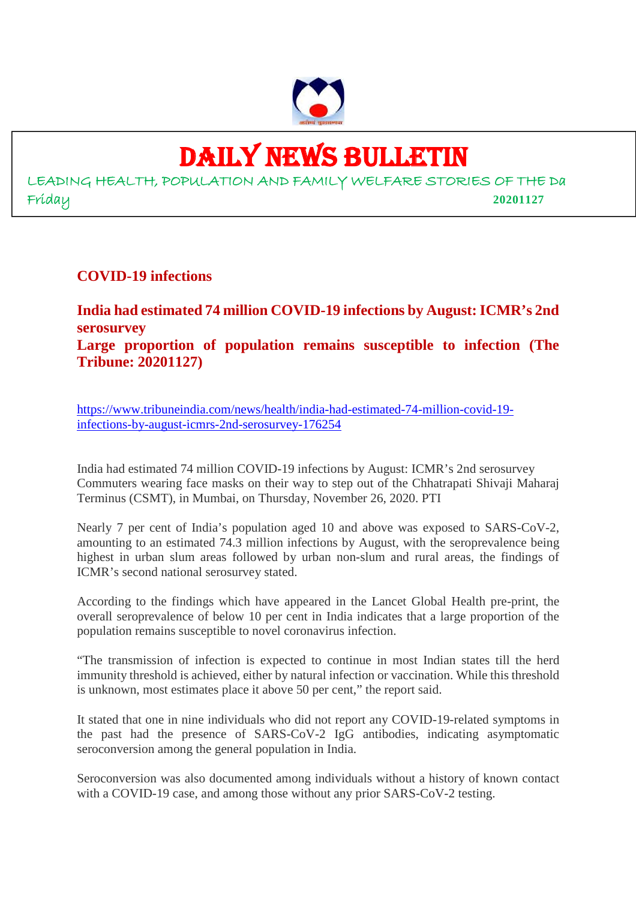

# DAILY NEWS BULLETIN

LEADING HEALTH, POPULATION AND FAMILY WELFARE STORIES OF THE Da Friday **20201127**

**COVID-19 infections**

**India had estimated 74 million COVID-19 infections by August: ICMR's 2nd serosurvey Large proportion of population remains susceptible to infection (The Tribune: 20201127)**

https://www.tribuneindia.com/news/health/india-had-estimated-74-million-covid-19 infections-by-august-icmrs-2nd-serosurvey-176254

India had estimated 74 million COVID-19 infections by August: ICMR's 2nd serosurvey Commuters wearing face masks on their way to step out of the Chhatrapati Shivaji Maharaj Terminus (CSMT), in Mumbai, on Thursday, November 26, 2020. PTI

Nearly 7 per cent of India's population aged 10 and above was exposed to SARS-CoV-2, amounting to an estimated 74.3 million infections by August, with the seroprevalence being highest in urban slum areas followed by urban non-slum and rural areas, the findings of ICMR's second national serosurvey stated.

According to the findings which have appeared in the Lancet Global Health pre-print, the overall seroprevalence of below 10 per cent in India indicates that a large proportion of the population remains susceptible to novel coronavirus infection.

"The transmission of infection is expected to continue in most Indian states till the herd immunity threshold is achieved, either by natural infection or vaccination. While this threshold is unknown, most estimates place it above 50 per cent," the report said.

It stated that one in nine individuals who did not report any COVID-19-related symptoms in the past had the presence of SARS-CoV-2 IgG antibodies, indicating asymptomatic seroconversion among the general population in India.

Seroconversion was also documented among individuals without a history of known contact with a COVID-19 case, and among those without any prior SARS-CoV-2 testing.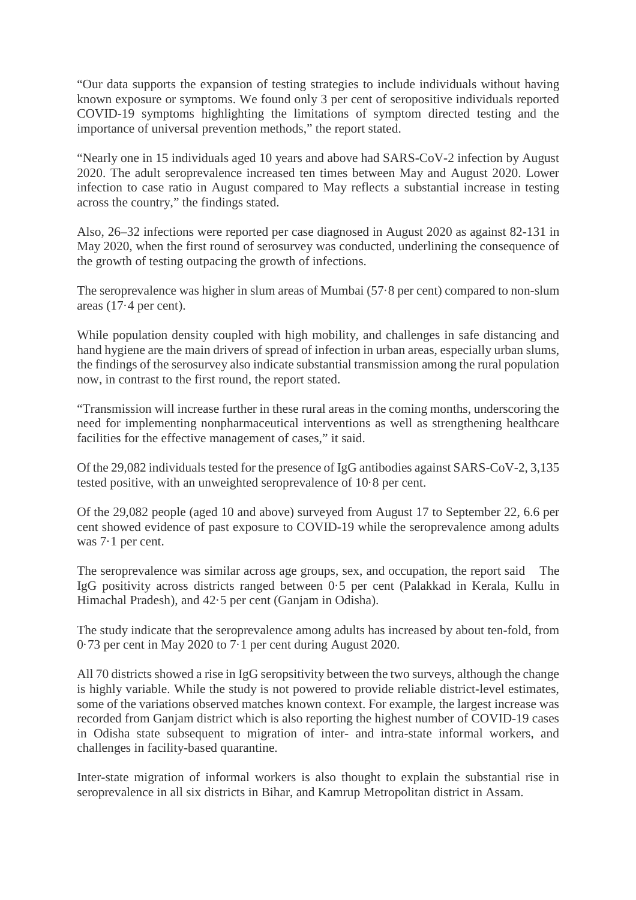"Our data supports the expansion of testing strategies to include individuals without having known exposure or symptoms. We found only 3 per cent of seropositive individuals reported COVID-19 symptoms highlighting the limitations of symptom directed testing and the importance of universal prevention methods," the report stated.

"Nearly one in 15 individuals aged 10 years and above had SARS-CoV-2 infection by August 2020. The adult seroprevalence increased ten times between May and August 2020. Lower infection to case ratio in August compared to May reflects a substantial increase in testing across the country," the findings stated.

Also, 26–32 infections were reported per case diagnosed in August 2020 as against 82-131 in May 2020, when the first round of serosurvey was conducted, underlining the consequence of the growth of testing outpacing the growth of infections.

The seroprevalence was higher in slum areas of Mumbai (57·8 per cent) compared to non-slum areas (17·4 per cent).

While population density coupled with high mobility, and challenges in safe distancing and hand hygiene are the main drivers of spread of infection in urban areas, especially urban slums, the findings of the serosurvey also indicate substantial transmission among the rural population now, in contrast to the first round, the report stated.

"Transmission will increase further in these rural areas in the coming months, underscoring the need for implementing nonpharmaceutical interventions as well as strengthening healthcare facilities for the effective management of cases," it said.

Of the 29,082 individuals tested for the presence of IgG antibodies against SARS-CoV-2, 3,135 tested positive, with an unweighted seroprevalence of 10·8 per cent.

Of the 29,082 people (aged 10 and above) surveyed from August 17 to September 22, 6.6 per cent showed evidence of past exposure to COVID-19 while the seroprevalence among adults was 7·1 per cent.

The seroprevalence was similar across age groups, sex, and occupation, the report said The IgG positivity across districts ranged between 0·5 per cent (Palakkad in Kerala, Kullu in Himachal Pradesh), and 42·5 per cent (Ganjam in Odisha).

The study indicate that the seroprevalence among adults has increased by about ten-fold, from 0·73 per cent in May 2020 to 7·1 per cent during August 2020.

All 70 districts showed a rise in IgG seropsitivity between the two surveys, although the change is highly variable. While the study is not powered to provide reliable district-level estimates, some of the variations observed matches known context. For example, the largest increase was recorded from Ganjam district which is also reporting the highest number of COVID-19 cases in Odisha state subsequent to migration of inter- and intra-state informal workers, and challenges in facility-based quarantine.

Inter-state migration of informal workers is also thought to explain the substantial rise in seroprevalence in all six districts in Bihar, and Kamrup Metropolitan district in Assam.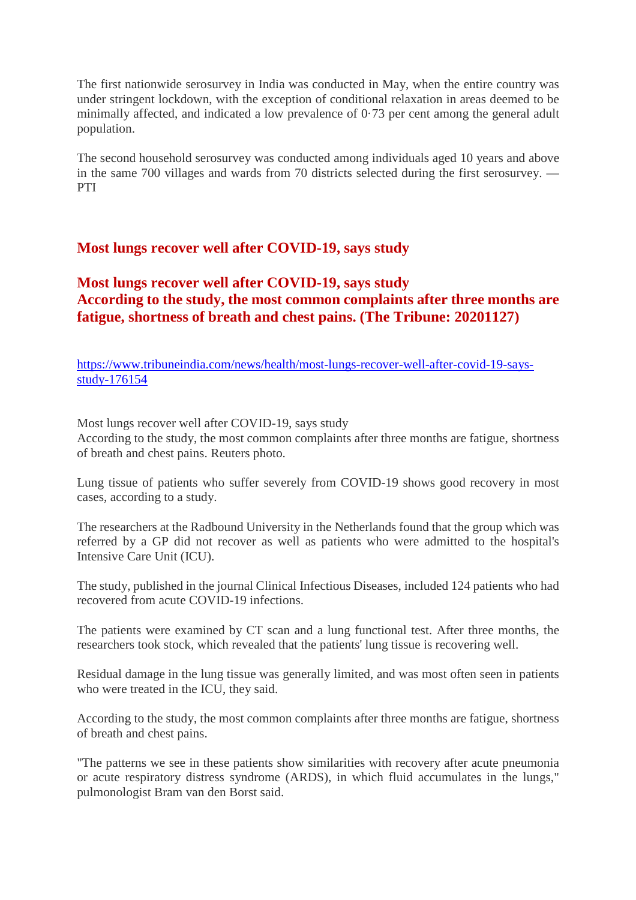The first nationwide serosurvey in India was conducted in May, when the entire country was under stringent lockdown, with the exception of conditional relaxation in areas deemed to be minimally affected, and indicated a low prevalence of 0·73 per cent among the general adult population.

The second household serosurvey was conducted among individuals aged 10 years and above in the same 700 villages and wards from 70 districts selected during the first serosurvey. — PTI

#### **Most lungs recover well after COVID-19, says study**

#### **Most lungs recover well after COVID-19, says study According to the study, the most common complaints after three months are fatigue, shortness of breath and chest pains. (The Tribune: 20201127)**

https://www.tribuneindia.com/news/health/most-lungs-recover-well-after-covid-19-saysstudy-176154

Most lungs recover well after COVID-19, says study

According to the study, the most common complaints after three months are fatigue, shortness of breath and chest pains. Reuters photo.

Lung tissue of patients who suffer severely from COVID-19 shows good recovery in most cases, according to a study.

The researchers at the Radbound University in the Netherlands found that the group which was referred by a GP did not recover as well as patients who were admitted to the hospital's Intensive Care Unit (ICU).

The study, published in the journal Clinical Infectious Diseases, included 124 patients who had recovered from acute COVID-19 infections.

The patients were examined by CT scan and a lung functional test. After three months, the researchers took stock, which revealed that the patients' lung tissue is recovering well.

Residual damage in the lung tissue was generally limited, and was most often seen in patients who were treated in the ICU, they said.

According to the study, the most common complaints after three months are fatigue, shortness of breath and chest pains.

"The patterns we see in these patients show similarities with recovery after acute pneumonia or acute respiratory distress syndrome (ARDS), in which fluid accumulates in the lungs," pulmonologist Bram van den Borst said.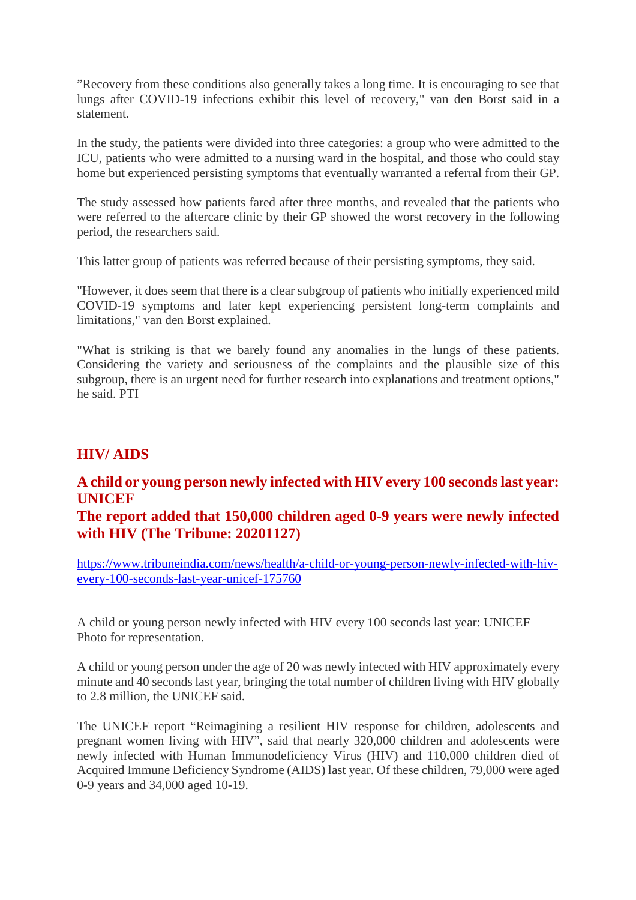"Recovery from these conditions also generally takes a long time. It is encouraging to see that lungs after COVID-19 infections exhibit this level of recovery," van den Borst said in a statement.

In the study, the patients were divided into three categories: a group who were admitted to the ICU, patients who were admitted to a nursing ward in the hospital, and those who could stay home but experienced persisting symptoms that eventually warranted a referral from their GP.

The study assessed how patients fared after three months, and revealed that the patients who were referred to the aftercare clinic by their GP showed the worst recovery in the following period, the researchers said.

This latter group of patients was referred because of their persisting symptoms, they said.

"However, it does seem that there is a clear subgroup of patients who initially experienced mild COVID-19 symptoms and later kept experiencing persistent long-term complaints and limitations," van den Borst explained.

"What is striking is that we barely found any anomalies in the lungs of these patients. Considering the variety and seriousness of the complaints and the plausible size of this subgroup, there is an urgent need for further research into explanations and treatment options," he said. PTI

#### **HIV/ AIDS**

#### **A child or young person newly infected with HIV every 100 seconds last year: UNICEF**

#### **The report added that 150,000 children aged 0-9 years were newly infected with HIV (The Tribune: 20201127)**

https://www.tribuneindia.com/news/health/a-child-or-young-person-newly-infected-with-hivevery-100-seconds-last-year-unicef-175760

A child or young person newly infected with HIV every 100 seconds last year: UNICEF Photo for representation.

A child or young person under the age of 20 was newly infected with HIV approximately every minute and 40 seconds last year, bringing the total number of children living with HIV globally to 2.8 million, the UNICEF said.

The UNICEF report "Reimagining a resilient HIV response for children, adolescents and pregnant women living with HIV", said that nearly 320,000 children and adolescents were newly infected with Human Immunodeficiency Virus (HIV) and 110,000 children died of Acquired Immune Deficiency Syndrome (AIDS) last year. Of these children, 79,000 were aged 0-9 years and 34,000 aged 10-19.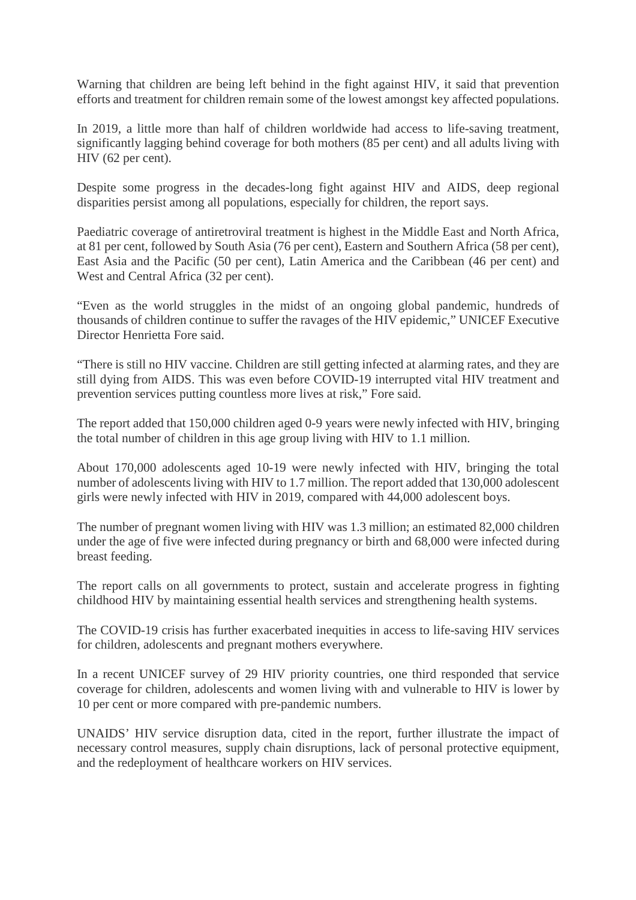Warning that children are being left behind in the fight against HIV, it said that prevention efforts and treatment for children remain some of the lowest amongst key affected populations.

In 2019, a little more than half of children worldwide had access to life-saving treatment, significantly lagging behind coverage for both mothers (85 per cent) and all adults living with HIV (62 per cent).

Despite some progress in the decades-long fight against HIV and AIDS, deep regional disparities persist among all populations, especially for children, the report says.

Paediatric coverage of antiretroviral treatment is highest in the Middle East and North Africa, at 81 per cent, followed by South Asia (76 per cent), Eastern and Southern Africa (58 per cent), East Asia and the Pacific (50 per cent), Latin America and the Caribbean (46 per cent) and West and Central Africa (32 per cent).

"Even as the world struggles in the midst of an ongoing global pandemic, hundreds of thousands of children continue to suffer the ravages of the HIV epidemic," UNICEF Executive Director Henrietta Fore said.

"There is still no HIV vaccine. Children are still getting infected at alarming rates, and they are still dying from AIDS. This was even before COVID-19 interrupted vital HIV treatment and prevention services putting countless more lives at risk," Fore said.

The report added that 150,000 children aged 0-9 years were newly infected with HIV, bringing the total number of children in this age group living with HIV to 1.1 million.

About 170,000 adolescents aged 10-19 were newly infected with HIV, bringing the total number of adolescents living with HIV to 1.7 million. The report added that 130,000 adolescent girls were newly infected with HIV in 2019, compared with 44,000 adolescent boys.

The number of pregnant women living with HIV was 1.3 million; an estimated 82,000 children under the age of five were infected during pregnancy or birth and 68,000 were infected during breast feeding.

The report calls on all governments to protect, sustain and accelerate progress in fighting childhood HIV by maintaining essential health services and strengthening health systems.

The COVID-19 crisis has further exacerbated inequities in access to life-saving HIV services for children, adolescents and pregnant mothers everywhere.

In a recent UNICEF survey of 29 HIV priority countries, one third responded that service coverage for children, adolescents and women living with and vulnerable to HIV is lower by 10 per cent or more compared with pre-pandemic numbers.

UNAIDS' HIV service disruption data, cited in the report, further illustrate the impact of necessary control measures, supply chain disruptions, lack of personal protective equipment, and the redeployment of healthcare workers on HIV services.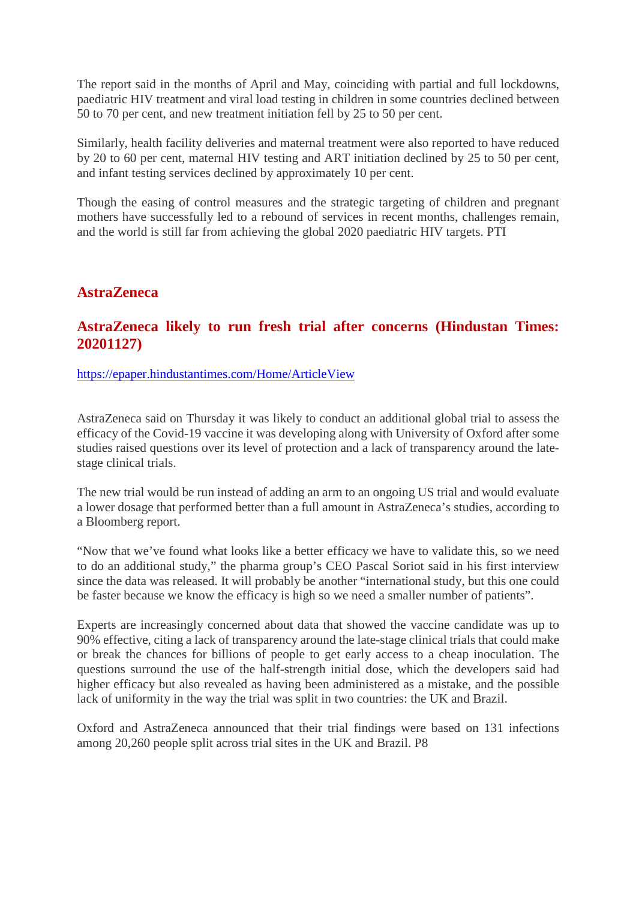The report said in the months of April and May, coinciding with partial and full lockdowns, paediatric HIV treatment and viral load testing in children in some countries declined between 50 to 70 per cent, and new treatment initiation fell by 25 to 50 per cent.

Similarly, health facility deliveries and maternal treatment were also reported to have reduced by 20 to 60 per cent, maternal HIV testing and ART initiation declined by 25 to 50 per cent, and infant testing services declined by approximately 10 per cent.

Though the easing of control measures and the strategic targeting of children and pregnant mothers have successfully led to a rebound of services in recent months, challenges remain, and the world is still far from achieving the global 2020 paediatric HIV targets. PTI

#### **AstraZeneca**

#### **AstraZeneca likely to run fresh trial after concerns (Hindustan Times: 20201127)**

https://epaper.hindustantimes.com/Home/ArticleView

AstraZeneca said on Thursday it was likely to conduct an additional global trial to assess the efficacy of the Covid-19 vaccine it was developing along with University of Oxford after some studies raised questions over its level of protection and a lack of transparency around the latestage clinical trials.

The new trial would be run instead of adding an arm to an ongoing US trial and would evaluate a lower dosage that performed better than a full amount in AstraZeneca's studies, according to a Bloomberg report.

"Now that we've found what looks like a better efficacy we have to validate this, so we need to do an additional study," the pharma group's CEO Pascal Soriot said in his first interview since the data was released. It will probably be another "international study, but this one could be faster because we know the efficacy is high so we need a smaller number of patients".

Experts are increasingly concerned about data that showed the vaccine candidate was up to 90% effective, citing a lack of transparency around the late-stage clinical trials that could make or break the chances for billions of people to get early access to a cheap inoculation. The questions surround the use of the half-strength initial dose, which the developers said had higher efficacy but also revealed as having been administered as a mistake, and the possible lack of uniformity in the way the trial was split in two countries: the UK and Brazil.

Oxford and AstraZeneca announced that their trial findings were based on 131 infections among 20,260 people split across trial sites in the UK and Brazil. P8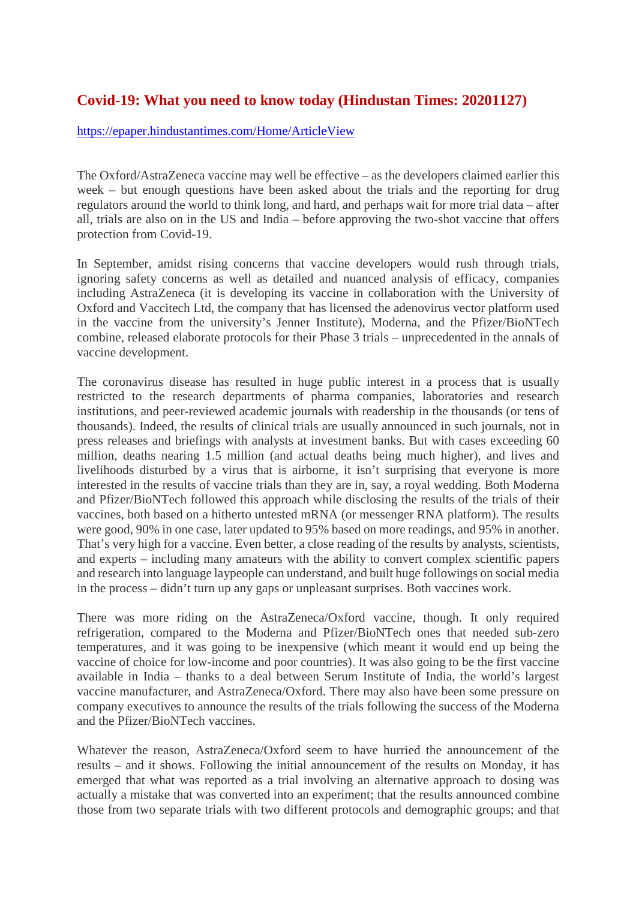#### **Covid-19: What you need to know today (Hindustan Times: 20201127)**

https://epaper.hindustantimes.com/Home/ArticleView

The Oxford/AstraZeneca vaccine may well be effective – as the developers claimed earlier this week – but enough questions have been asked about the trials and the reporting for drug regulators around the world to think long, and hard, and perhaps wait for more trial data – after all, trials are also on in the US and India – before approving the two-shot vaccine that offers protection from Covid-19.

In September, amidst rising concerns that vaccine developers would rush through trials, ignoring safety concerns as well as detailed and nuanced analysis of efficacy, companies including AstraZeneca (it is developing its vaccine in collaboration with the University of Oxford and Vaccitech Ltd, the company that has licensed the adenovirus vector platform used in the vaccine from the university's Jenner Institute), Moderna, and the Pfizer/BioNTech combine, released elaborate protocols for their Phase 3 trials – unprecedented in the annals of vaccine development.

The coronavirus disease has resulted in huge public interest in a process that is usually restricted to the research departments of pharma companies, laboratories and research institutions, and peer-reviewed academic journals with readership in the thousands (or tens of thousands). Indeed, the results of clinical trials are usually announced in such journals, not in press releases and briefings with analysts at investment banks. But with cases exceeding 60 million, deaths nearing 1.5 million (and actual deaths being much higher), and lives and livelihoods disturbed by a virus that is airborne, it isn't surprising that everyone is more interested in the results of vaccine trials than they are in, say, a royal wedding. Both Moderna and Pfizer/BioNTech followed this approach while disclosing the results of the trials of their vaccines, both based on a hitherto untested mRNA (or messenger RNA platform). The results were good, 90% in one case, later updated to 95% based on more readings, and 95% in another. That's very high for a vaccine. Even better, a close reading of the results by analysts, scientists, and experts – including many amateurs with the ability to convert complex scientific papers and research into language laypeople can understand, and built huge followings on social media in the process – didn't turn up any gaps or unpleasant surprises. Both vaccines work.

There was more riding on the AstraZeneca/Oxford vaccine, though. It only required refrigeration, compared to the Moderna and Pfizer/BioNTech ones that needed sub-zero temperatures, and it was going to be inexpensive (which meant it would end up being the vaccine of choice for low-income and poor countries). It was also going to be the first vaccine available in India – thanks to a deal between Serum Institute of India, the world's largest vaccine manufacturer, and AstraZeneca/Oxford. There may also have been some pressure on company executives to announce the results of the trials following the success of the Moderna and the Pfizer/BioNTech vaccines.

Whatever the reason, AstraZeneca/Oxford seem to have hurried the announcement of the results – and it shows. Following the initial announcement of the results on Monday, it has emerged that what was reported as a trial involving an alternative approach to dosing was actually a mistake that was converted into an experiment; that the results announced combine those from two separate trials with two different protocols and demographic groups; and that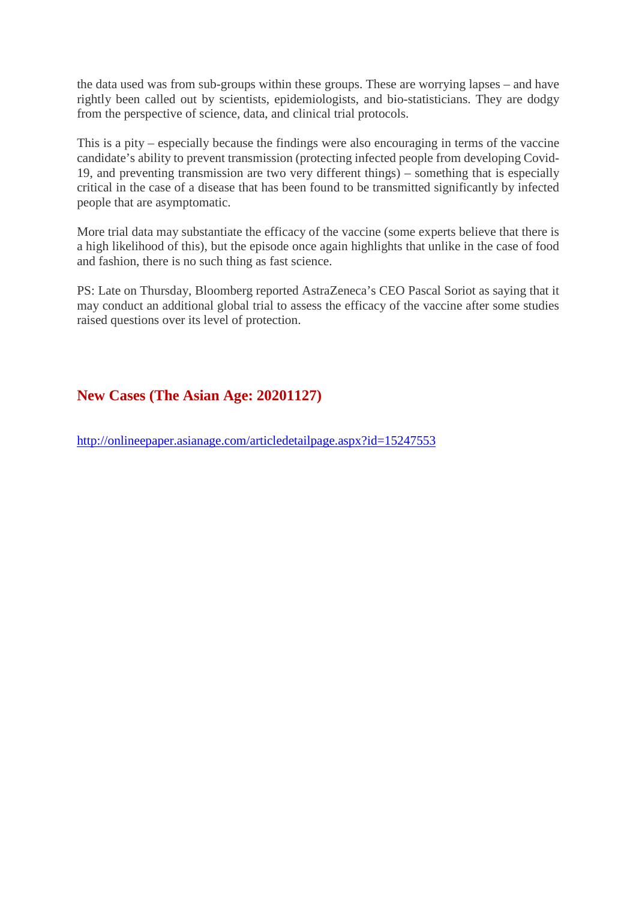the data used was from sub-groups within these groups. These are worrying lapses – and have rightly been called out by scientists, epidemiologists, and bio-statisticians. They are dodgy from the perspective of science, data, and clinical trial protocols.

This is a pity – especially because the findings were also encouraging in terms of the vaccine candidate's ability to prevent transmission (protecting infected people from developing Covid-19, and preventing transmission are two very different things) – something that is especially critical in the case of a disease that has been found to be transmitted significantly by infected people that are asymptomatic.

More trial data may substantiate the efficacy of the vaccine (some experts believe that there is a high likelihood of this), but the episode once again highlights that unlike in the case of food and fashion, there is no such thing as fast science.

PS: Late on Thursday, Bloomberg reported AstraZeneca's CEO Pascal Soriot as saying that it may conduct an additional global trial to assess the efficacy of the vaccine after some studies raised questions over its level of protection.

#### **New Cases (The Asian Age: 20201127)**

http://onlineepaper.asianage.com/articledetailpage.aspx?id=15247553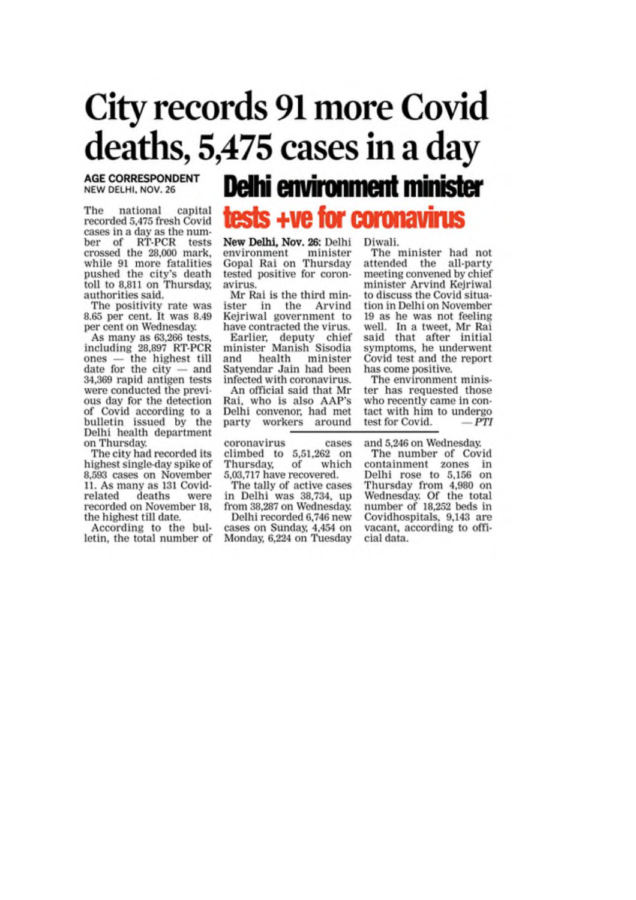# **City records 91 more Covid** deaths, 5,475 cases in a day

#### **AGE CORRESPONDENT** NEW DELHI, NOV. 26

national capital The recorded 5,475 fresh Covid cases in a day as the number of RT-PCR tests crossed the 28,000 mark, while 91 more fatalities pushed the city's death toll to 8,811 on Thursday, authorities said.

The positivity rate was 8.65 per cent. It was 8.49 per cent on Wednesday.

As many as 63,266 tests,<br>including 28,897 RT-PCR  $ones$  - the highest till date for the  $city$  - and 34,369 rapid antigen tests were conducted the previous day for the detection of Covid according to a bulletin issued by the Delhi health department on Thursday.

The city had recorded its highest single-day spike of 8,593 cases on November 11. As many as 131 Coviddeaths related were recorded on November 18, the highest till date.

According to the bulletin, the total number of

## **Delhi environment minister**

### tests +ve for coronavirus

New Delhi, Nov. 26: Delhi environment minister Gopal Rai on Thursday tested positive for coronavirus.

Mr Rai is the third minister in the Arvind Kejriwal government to have contracted the virus.

Earlier, deputy chief<br>minister Manish Sisodia minister and health Satyendar Jain had been infected with coronavirus. An official said that Mr Rai, who is also AAP's Delhi convenor, had met

coronavirus cases climbed to 5,51,262 on Thursday, of which 5,03,717 have recovered.

party workers around

The tally of active cases in Delhi was 38,734, up from 38,287 on Wednesday.

Delhi recorded 6,746 new cases on Sunday, 4,454 on Monday, 6,224 on Tuesday Diwali.

The minister had not attended the all-party meeting convened by chief minister Arvind Kejriwal to discuss the Covid situation in Delhi on November 19 as he was not feeling well. In a tweet, Mr Rai said that after initial<br>symptoms, he underwent Covid test and the report has come positive.

The environment minister has requested those who recently came in contact with him to undergo  $-PTI$ test for Covid.

and 5,246 on Wednesday.

The number of Covid containment zones in Delhi rose to 5,156 on Thursday from 4,980 on Wednesday. Of the total number of 18,252 beds in Covidhospitals, 9,143 are vacant, according to official data.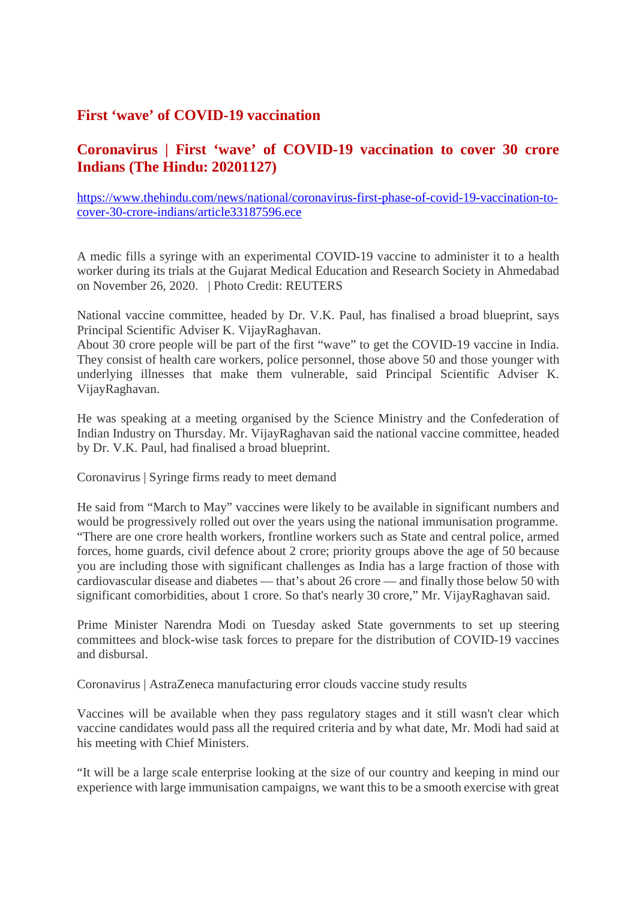#### **First 'wave' of COVID-19 vaccination**

#### **Coronavirus | First 'wave' of COVID-19 vaccination to cover 30 crore Indians (The Hindu: 20201127)**

https://www.thehindu.com/news/national/coronavirus-first-phase-of-covid-19-vaccination-tocover-30-crore-indians/article33187596.ece

A medic fills a syringe with an experimental COVID-19 vaccine to administer it to a health worker during its trials at the Gujarat Medical Education and Research Society in Ahmedabad on November 26, 2020. | Photo Credit: REUTERS

National vaccine committee, headed by Dr. V.K. Paul, has finalised a broad blueprint, says Principal Scientific Adviser K. VijayRaghavan.

About 30 crore people will be part of the first "wave" to get the COVID-19 vaccine in India. They consist of health care workers, police personnel, those above 50 and those younger with underlying illnesses that make them vulnerable, said Principal Scientific Adviser K. VijayRaghavan.

He was speaking at a meeting organised by the Science Ministry and the Confederation of Indian Industry on Thursday. Mr. VijayRaghavan said the national vaccine committee, headed by Dr. V.K. Paul, had finalised a broad blueprint.

Coronavirus | Syringe firms ready to meet demand

He said from "March to May" vaccines were likely to be available in significant numbers and would be progressively rolled out over the years using the national immunisation programme. "There are one crore health workers, frontline workers such as State and central police, armed forces, home guards, civil defence about 2 crore; priority groups above the age of 50 because you are including those with significant challenges as India has a large fraction of those with cardiovascular disease and diabetes — that's about 26 crore — and finally those below 50 with significant comorbidities, about 1 crore. So that's nearly 30 crore," Mr. VijayRaghavan said.

Prime Minister Narendra Modi on Tuesday asked State governments to set up steering committees and block-wise task forces to prepare for the distribution of COVID-19 vaccines and disbursal.

Coronavirus | AstraZeneca manufacturing error clouds vaccine study results

Vaccines will be available when they pass regulatory stages and it still wasn't clear which vaccine candidates would pass all the required criteria and by what date, Mr. Modi had said at his meeting with Chief Ministers.

"It will be a large scale enterprise looking at the size of our country and keeping in mind our experience with large immunisation campaigns, we want this to be a smooth exercise with great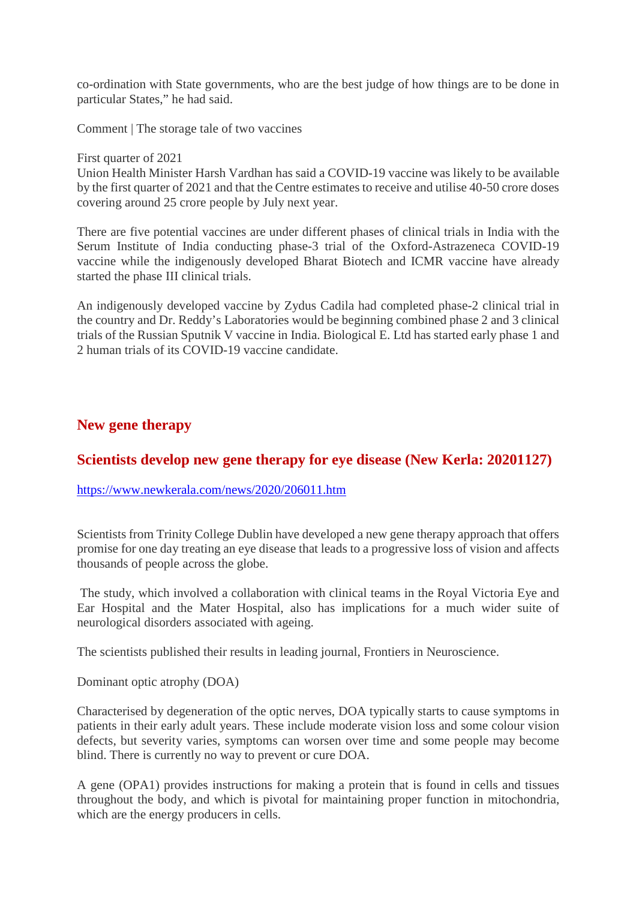co-ordination with State governments, who are the best judge of how things are to be done in particular States," he had said.

Comment | The storage tale of two vaccines

First quarter of 2021

Union Health Minister Harsh Vardhan has said a COVID-19 vaccine was likely to be available by the first quarter of 2021 and that the Centre estimates to receive and utilise 40-50 crore doses covering around 25 crore people by July next year.

There are five potential vaccines are under different phases of clinical trials in India with the Serum Institute of India conducting phase-3 trial of the Oxford-Astrazeneca COVID-19 vaccine while the indigenously developed Bharat Biotech and ICMR vaccine have already started the phase III clinical trials.

An indigenously developed vaccine by Zydus Cadila had completed phase-2 clinical trial in the country and Dr. Reddy's Laboratories would be beginning combined phase 2 and 3 clinical trials of the Russian Sputnik V vaccine in India. Biological E. Ltd has started early phase 1 and 2 human trials of its COVID-19 vaccine candidate.

#### **New gene therapy**

#### **Scientists develop new gene therapy for eye disease (New Kerla: 20201127)**

https://www.newkerala.com/news/2020/206011.htm

Scientists from Trinity College Dublin have developed a new gene therapy approach that offers promise for one day treating an eye disease that leads to a progressive loss of vision and affects thousands of people across the globe.

The study, which involved a collaboration with clinical teams in the Royal Victoria Eye and Ear Hospital and the Mater Hospital, also has implications for a much wider suite of neurological disorders associated with ageing.

The scientists published their results in leading journal, Frontiers in Neuroscience.

Dominant optic atrophy (DOA)

Characterised by degeneration of the optic nerves, DOA typically starts to cause symptoms in patients in their early adult years. These include moderate vision loss and some colour vision defects, but severity varies, symptoms can worsen over time and some people may become blind. There is currently no way to prevent or cure DOA.

A gene (OPA1) provides instructions for making a protein that is found in cells and tissues throughout the body, and which is pivotal for maintaining proper function in mitochondria, which are the energy producers in cells.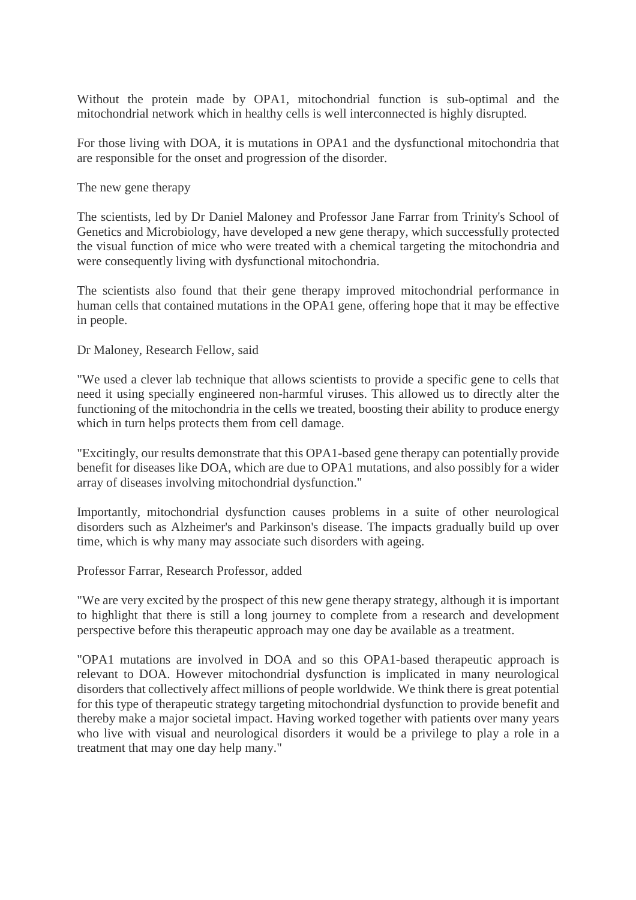Without the protein made by OPA1, mitochondrial function is sub-optimal and the mitochondrial network which in healthy cells is well interconnected is highly disrupted.

For those living with DOA, it is mutations in OPA1 and the dysfunctional mitochondria that are responsible for the onset and progression of the disorder.

The new gene therapy

The scientists, led by Dr Daniel Maloney and Professor Jane Farrar from Trinity's School of Genetics and Microbiology, have developed a new gene therapy, which successfully protected the visual function of mice who were treated with a chemical targeting the mitochondria and were consequently living with dysfunctional mitochondria.

The scientists also found that their gene therapy improved mitochondrial performance in human cells that contained mutations in the OPA1 gene, offering hope that it may be effective in people.

#### Dr Maloney, Research Fellow, said

"We used a clever lab technique that allows scientists to provide a specific gene to cells that need it using specially engineered non-harmful viruses. This allowed us to directly alter the functioning of the mitochondria in the cells we treated, boosting their ability to produce energy which in turn helps protects them from cell damage.

"Excitingly, our results demonstrate that this OPA1-based gene therapy can potentially provide benefit for diseases like DOA, which are due to OPA1 mutations, and also possibly for a wider array of diseases involving mitochondrial dysfunction."

Importantly, mitochondrial dysfunction causes problems in a suite of other neurological disorders such as Alzheimer's and Parkinson's disease. The impacts gradually build up over time, which is why many may associate such disorders with ageing.

#### Professor Farrar, Research Professor, added

"We are very excited by the prospect of this new gene therapy strategy, although it is important to highlight that there is still a long journey to complete from a research and development perspective before this therapeutic approach may one day be available as a treatment.

"OPA1 mutations are involved in DOA and so this OPA1-based therapeutic approach is relevant to DOA. However mitochondrial dysfunction is implicated in many neurological disorders that collectively affect millions of people worldwide. We think there is great potential for this type of therapeutic strategy targeting mitochondrial dysfunction to provide benefit and thereby make a major societal impact. Having worked together with patients over many years who live with visual and neurological disorders it would be a privilege to play a role in a treatment that may one day help many."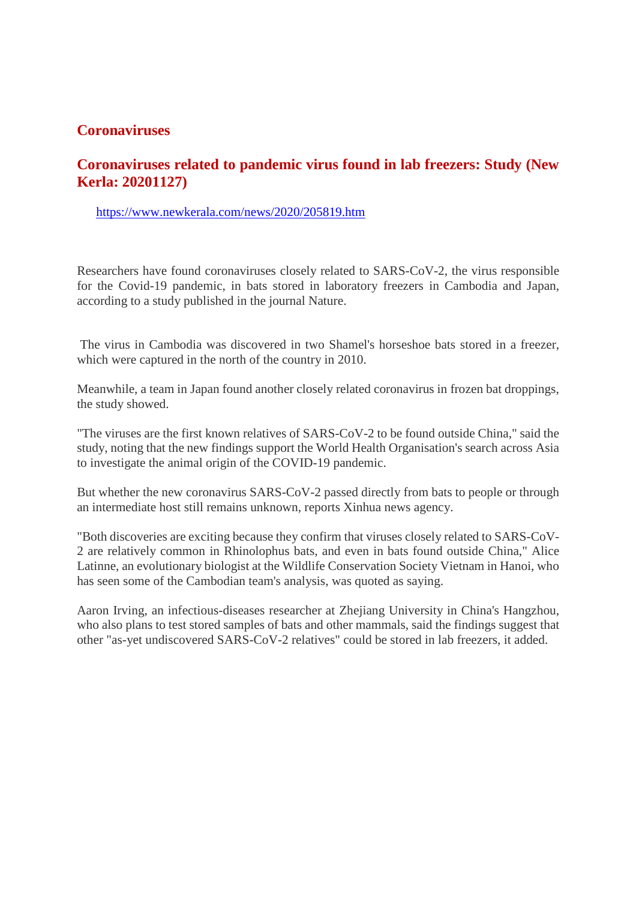#### **Coronaviruses**

#### **Coronaviruses related to pandemic virus found in lab freezers: Study (New Kerla: 20201127)**

https://www.newkerala.com/news/2020/205819.htm

Researchers have found coronaviruses closely related to SARS-CoV-2, the virus responsible for the Covid-19 pandemic, in bats stored in laboratory freezers in Cambodia and Japan, according to a study published in the journal Nature.

The virus in Cambodia was discovered in two Shamel's horseshoe bats stored in a freezer, which were captured in the north of the country in 2010.

Meanwhile, a team in Japan found another closely related coronavirus in frozen bat droppings, the study showed.

"The viruses are the first known relatives of SARS-CoV-2 to be found outside China," said the study, noting that the new findings support the World Health Organisation's search across Asia to investigate the animal origin of the COVID-19 pandemic.

But whether the new coronavirus SARS-CoV-2 passed directly from bats to people or through an intermediate host still remains unknown, reports Xinhua news agency.

"Both discoveries are exciting because they confirm that viruses closely related to SARS-CoV-2 are relatively common in Rhinolophus bats, and even in bats found outside China," Alice Latinne, an evolutionary biologist at the Wildlife Conservation Society Vietnam in Hanoi, who has seen some of the Cambodian team's analysis, was quoted as saying.

Aaron Irving, an infectious-diseases researcher at Zhejiang University in China's Hangzhou, who also plans to test stored samples of bats and other mammals, said the findings suggest that other "as-yet undiscovered SARS-CoV-2 relatives" could be stored in lab freezers, it added.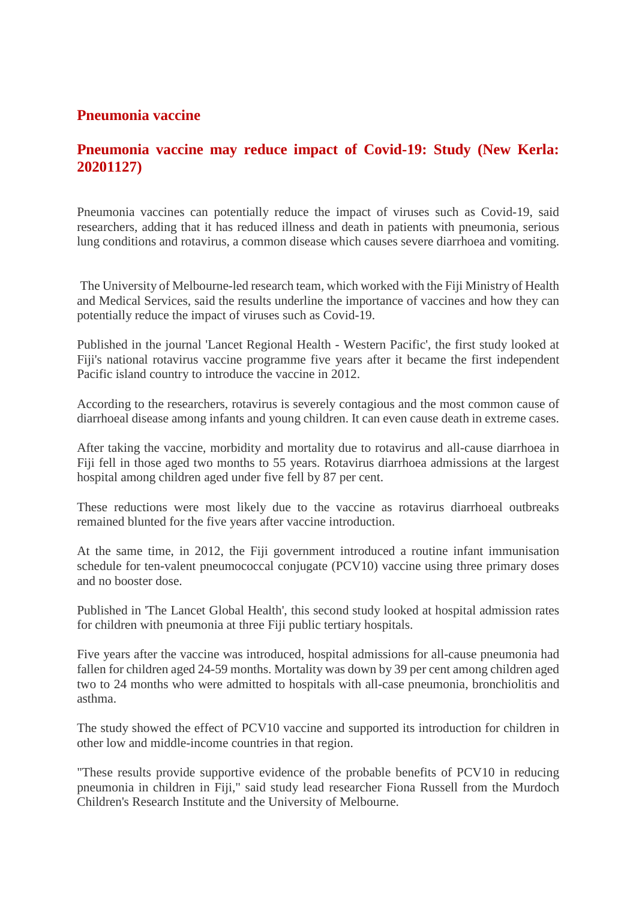#### **Pneumonia vaccine**

#### **Pneumonia vaccine may reduce impact of Covid-19: Study (New Kerla: 20201127)**

Pneumonia vaccines can potentially reduce the impact of viruses such as Covid-19, said researchers, adding that it has reduced illness and death in patients with pneumonia, serious lung conditions and rotavirus, a common disease which causes severe diarrhoea and vomiting.

The University of Melbourne-led research team, which worked with the Fiji Ministry of Health and Medical Services, said the results underline the importance of vaccines and how they can potentially reduce the impact of viruses such as Covid-19.

Published in the journal 'Lancet Regional Health - Western Pacific', the first study looked at Fiji's national rotavirus vaccine programme five years after it became the first independent Pacific island country to introduce the vaccine in 2012.

According to the researchers, rotavirus is severely contagious and the most common cause of diarrhoeal disease among infants and young children. It can even cause death in extreme cases.

After taking the vaccine, morbidity and mortality due to rotavirus and all-cause diarrhoea in Fiji fell in those aged two months to 55 years. Rotavirus diarrhoea admissions at the largest hospital among children aged under five fell by 87 per cent.

These reductions were most likely due to the vaccine as rotavirus diarrhoeal outbreaks remained blunted for the five years after vaccine introduction.

At the same time, in 2012, the Fiji government introduced a routine infant immunisation schedule for ten-valent pneumococcal conjugate (PCV10) vaccine using three primary doses and no booster dose.

Published in 'The Lancet Global Health', this second study looked at hospital admission rates for children with pneumonia at three Fiji public tertiary hospitals.

Five years after the vaccine was introduced, hospital admissions for all-cause pneumonia had fallen for children aged 24-59 months. Mortality was down by 39 per cent among children aged two to 24 months who were admitted to hospitals with all-case pneumonia, bronchiolitis and asthma.

The study showed the effect of PCV10 vaccine and supported its introduction for children in other low and middle-income countries in that region.

"These results provide supportive evidence of the probable benefits of PCV10 in reducing pneumonia in children in Fiji," said study lead researcher Fiona Russell from the Murdoch Children's Research Institute and the University of Melbourne.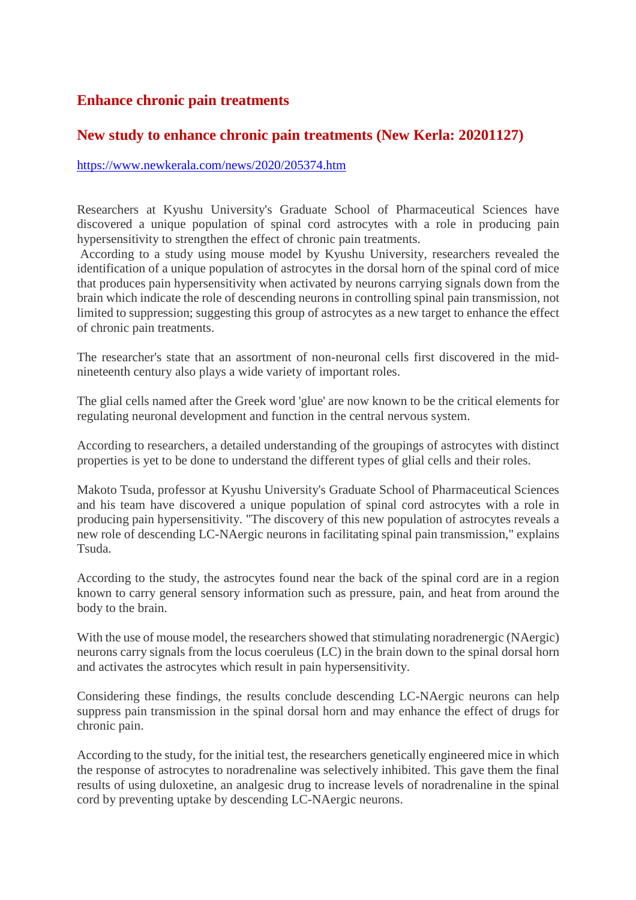#### **Enhance chronic pain treatments**

#### **New study to enhance chronic pain treatments (New Kerla: 20201127)**

https://www.newkerala.com/news/2020/205374.htm

Researchers at Kyushu University's Graduate School of Pharmaceutical Sciences have discovered a unique population of spinal cord astrocytes with a role in producing pain hypersensitivity to strengthen the effect of chronic pain treatments.

According to a study using mouse model by Kyushu University, researchers revealed the identification of a unique population of astrocytes in the dorsal horn of the spinal cord of mice that produces pain hypersensitivity when activated by neurons carrying signals down from the brain which indicate the role of descending neurons in controlling spinal pain transmission, not limited to suppression; suggesting this group of astrocytes as a new target to enhance the effect of chronic pain treatments.

The researcher's state that an assortment of non-neuronal cells first discovered in the midnineteenth century also plays a wide variety of important roles.

The glial cells named after the Greek word 'glue' are now known to be the critical elements for regulating neuronal development and function in the central nervous system.

According to researchers, a detailed understanding of the groupings of astrocytes with distinct properties is yet to be done to understand the different types of glial cells and their roles.

Makoto Tsuda, professor at Kyushu University's Graduate School of Pharmaceutical Sciences and his team have discovered a unique population of spinal cord astrocytes with a role in producing pain hypersensitivity. "The discovery of this new population of astrocytes reveals a new role of descending LC-NAergic neurons in facilitating spinal pain transmission," explains Tsuda.

According to the study, the astrocytes found near the back of the spinal cord are in a region known to carry general sensory information such as pressure, pain, and heat from around the body to the brain.

With the use of mouse model, the researchers showed that stimulating noradrenergic (NAergic) neurons carry signals from the locus coeruleus (LC) in the brain down to the spinal dorsal horn and activates the astrocytes which result in pain hypersensitivity.

Considering these findings, the results conclude descending LC-NAergic neurons can help suppress pain transmission in the spinal dorsal horn and may enhance the effect of drugs for chronic pain.

According to the study, for the initial test, the researchers genetically engineered mice in which the response of astrocytes to noradrenaline was selectively inhibited. This gave them the final results of using duloxetine, an analgesic drug to increase levels of noradrenaline in the spinal cord by preventing uptake by descending LC-NAergic neurons.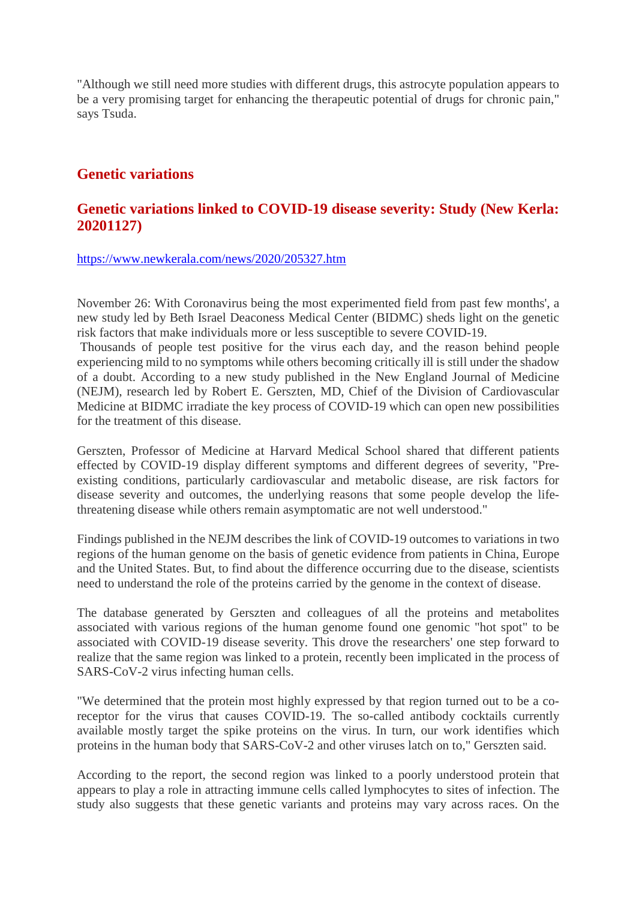"Although we still need more studies with different drugs, this astrocyte population appears to be a very promising target for enhancing the therapeutic potential of drugs for chronic pain," says Tsuda.

#### **Genetic variations**

#### **Genetic variations linked to COVID-19 disease severity: Study (New Kerla: 20201127)**

#### https://www.newkerala.com/news/2020/205327.htm

November 26: With Coronavirus being the most experimented field from past few months', a new study led by Beth Israel Deaconess Medical Center (BIDMC) sheds light on the genetic risk factors that make individuals more or less susceptible to severe COVID-19.

Thousands of people test positive for the virus each day, and the reason behind people experiencing mild to no symptoms while others becoming critically ill is still under the shadow of a doubt. According to a new study published in the New England Journal of Medicine (NEJM), research led by Robert E. Gerszten, MD, Chief of the Division of Cardiovascular Medicine at BIDMC irradiate the key process of COVID-19 which can open new possibilities for the treatment of this disease.

Gerszten, Professor of Medicine at Harvard Medical School shared that different patients effected by COVID-19 display different symptoms and different degrees of severity, "Preexisting conditions, particularly cardiovascular and metabolic disease, are risk factors for disease severity and outcomes, the underlying reasons that some people develop the lifethreatening disease while others remain asymptomatic are not well understood."

Findings published in the NEJM describes the link of COVID-19 outcomes to variations in two regions of the human genome on the basis of genetic evidence from patients in China, Europe and the United States. But, to find about the difference occurring due to the disease, scientists need to understand the role of the proteins carried by the genome in the context of disease.

The database generated by Gerszten and colleagues of all the proteins and metabolites associated with various regions of the human genome found one genomic "hot spot" to be associated with COVID-19 disease severity. This drove the researchers' one step forward to realize that the same region was linked to a protein, recently been implicated in the process of SARS-CoV-2 virus infecting human cells.

"We determined that the protein most highly expressed by that region turned out to be a coreceptor for the virus that causes COVID-19. The so-called antibody cocktails currently available mostly target the spike proteins on the virus. In turn, our work identifies which proteins in the human body that SARS-CoV-2 and other viruses latch on to," Gerszten said.

According to the report, the second region was linked to a poorly understood protein that appears to play a role in attracting immune cells called lymphocytes to sites of infection. The study also suggests that these genetic variants and proteins may vary across races. On the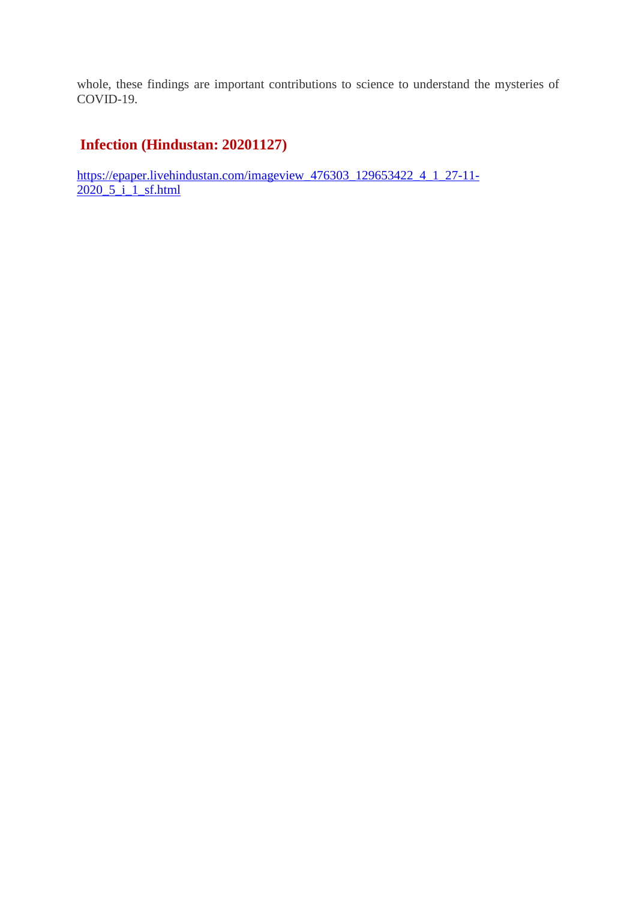whole, these findings are important contributions to science to understand the mysteries of COVID-19.

#### **Infection (Hindustan: 20201127)**

https://epaper.livehindustan.com/imageview\_476303\_129653422\_4\_1\_27-11-  $2020\,5\,$ i 1\_sf.html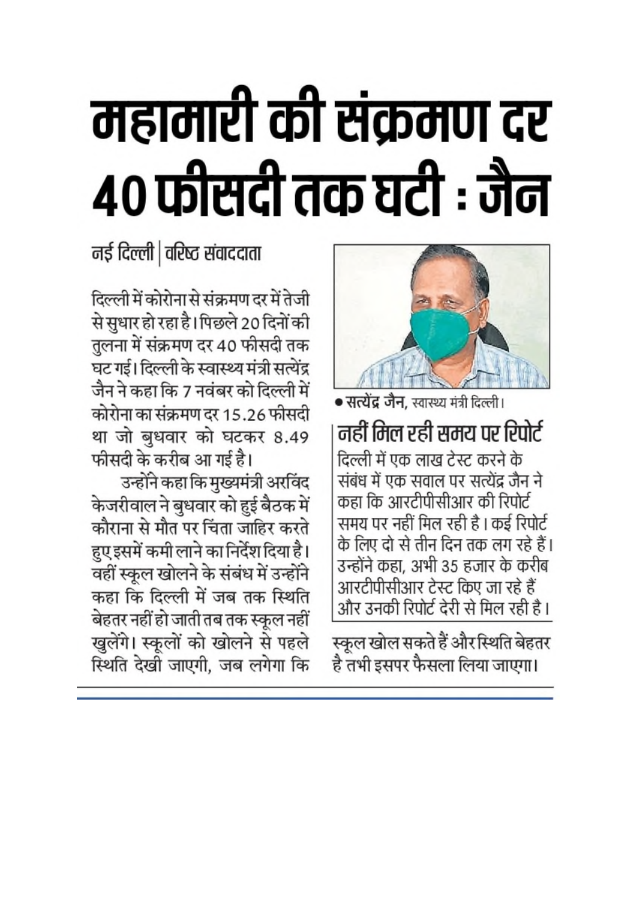# महामारी की संक्रमण दर ४० फीसदी तक घटी : जैन

नई दिल्ली | वरिष्ठ संवाददाता

दिल्ली में कोरोना से संक्रमण दर में तेजी से सुधार हो रहा है। पिछले 20 दिनों की तुलना में संक्रमण दर 40 फीसदी तक घट गई। दिल्ली के स्वास्थ्य मंत्री सत्येंद्र जैन ने कहा कि 7 नवंबर को दिल्ली में कोरोना का संक्रमण दर 15.26 फीसदी था जो बुधवार को घटकर 8.49 फीसदी के करीब आ गई है।

उन्होंने कहा कि मुख्यमंत्री अरविंद केजरीवाल ने बुधवार को हुई बैठक में कौराना से मौत पर चिंता जाहिर करते हुए इसमें कमी लाने का निर्देश दिया है। वहीं स्कूल खोलने के संबंध में उन्होंने कहा कि दिल्ली में जब तक स्थिति बेहतर नहीं हो जाती तब तक स्कूल नहीं खुलेंगे। स्कूलों को खोलने से पहले स्थिति देखी जाएगी. जब लगेगा कि



• सत्येंद्र जैन, स्वास्थ्य मंत्री दिल्ली। नहीं मिल रही समय पर रिपोर्ट दिल्ली में एक लाख टेस्ट करने के संबंध में एक सवाल पर सत्येंद्र जैन ने कहा कि आरटीपीसीआर की रिपोर्ट समय पर नहीं मिल रही है । कई रिपोर्ट के लिए दो से तीन दिन तक लग रहे हैं। उन्होंने कहा, अभी 35 हजार के करीब आरटीपीसीआर टेस्ट किए जा रहे हैं और उनकी रिपोर्ट देरी से मिल रही है।

स्कूल खोल सकते हैं और स्थिति बेहतर है तभी इसपर फैसला लिया जाएगा।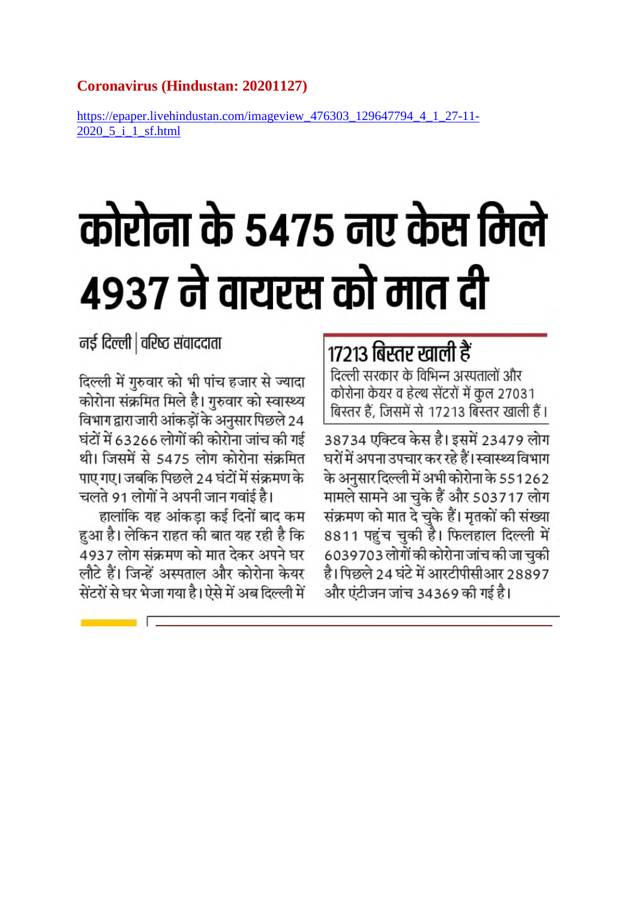#### **Coronavirus (Hindustan: 20201127)**

https://epaper.livehindustan.com/imageview 476303 129647794 4 1 27-11-2020 5 i 1 sf.html

# कोरोना के 5475 नए केस मिले ४९३७ ने वायरस को मात दी

नई दिल्ली | वरिष्ठ संवाददाता

दिल्ली में गुरुवार को भी पांच हजार से ज्यादा कोरोना संक्रमित मिले है। गुरुवार को स्वास्थ्य विभाग द्वारा जारी आंकड़ों के अनुसार पिछले 24 घंटों में 63266 लोगों की कोरोना जांच की गई थी। जिसमें से 5475 लोग कोरोना संक्रमित पाए गए। जबकि पिछले 24 घंटों में संक्रमण के चलते 91 लोगों ने अपनी जान गवांई है।

हालांकि यह आंकडा कई दिनों बाद कम हुआ है। लेकिन राहत की बात यह रही है कि 4937 लोग संक्रमण को मात देकर अपने घर लौटे हैं। जिन्हें अस्पताल और कोरोना केयर सेंटरों से घर भेजा गया है। ऐसे में अब दिल्ली में

## 17213 बिस्तर खाली हैं

दिल्ली सरकार के विभिन्न अस्पतालों और कोरोना केयर व हेल्थ सेंटरों में कुल 27031 बिस्तर हैं. जिसमें से 17213 बिस्तर खाली हैं।

38734 एक्टिव केस है। इसमें 23479 लोग घरों में अपना उपचार कर रहे हैं। स्वास्थ्य विभाग के अनुसार दिल्ली में अभी कोरोना के 551262 मामले सामने आ चुके हैं और 503717 लोग संक्रमण को मात दे चुके हैं। मृतकों की संख्या 8811 पहुंच चुकी है। फिलहाल दिल्ली में 6039703 लोगों की कोरोना जांच की जा चुकी है। पिछले 24 घंटे में आरटीपीसीआर 28897 और एंटीजन जांच 34369 की गई है।